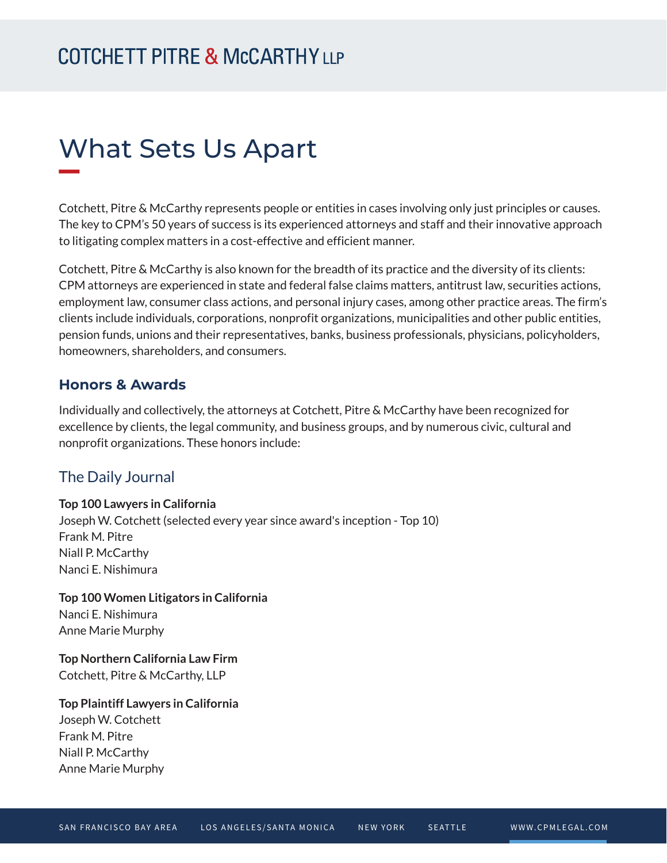# What Sets Us Apart

Cotchett, Pitre & McCarthy represents people or entities in cases involving only just principles or causes. The key to CPM's 50 years of success is its experienced attorneys and staff and their innovative approach to litigating complex matters in a cost-effective and efficient manner.

Cotchett, Pitre & McCarthy is also known for the breadth of its practice and the diversity of its clients: CPM attorneys are experienced in state and federal false claims matters, antitrust law, securities actions, employment law, consumer class actions, and personal injury cases, among other practice areas. The firm's clients include individuals, corporations, nonprofit organizations, municipalities and other public entities, pension funds, unions and their representatives, banks, business professionals, physicians, policyholders, homeowners, shareholders, and consumers.

#### **Honors & Awards**

Individually and collectively, the attorneys at Cotchett, Pitre & McCarthy have been recognized for excellence by clients, the legal community, and business groups, and by numerous civic, cultural and nonprofit organizations. These honors include:

#### The Daily Journal

#### **Top 100 Lawyers in California**

Joseph W. Cotchett (selected every year since award's inception - Top 10) Frank M. Pitre Niall P. McCarthy Nanci E. Nishimura

**Top 100 Women Litigators in California** Nanci E. Nishimura Anne Marie Murphy

**Top Northern California Law Firm** Cotchett, Pitre & McCarthy, LLP

**Top Plaintiff Lawyers in California** Joseph W. Cotchett Frank M. Pitre Niall P. McCarthy Anne Marie Murphy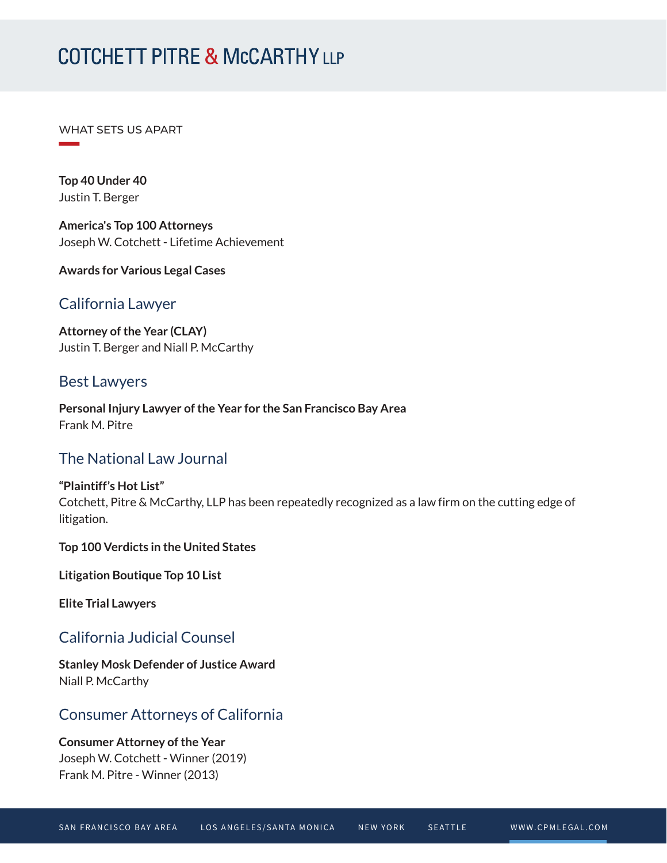WHAT SETS US APART

**Top 40 Under 40** Justin T. Berger

**William Company** 

**America's Top 100 Attorneys** Joseph W. Cotchett - Lifetime Achievement

**Awards for Various Legal Cases**

### California Lawyer

**Attorney of the Year (CLAY)** Justin T. Berger and Niall P. McCarthy

#### Best Lawyers

**Personal Injury Lawyer of the Year for the San Francisco Bay Area** Frank M. Pitre

### The National Law Journal

**"Plaintiff's Hot List"** Cotchett, Pitre & McCarthy, LLP has been repeatedly recognized as a law firm on the cutting edge of litigation.

**Top 100 Verdicts in the United States**

**Litigation Boutique Top 10 List**

**Elite Trial Lawyers**

# California Judicial Counsel

**Stanley Mosk Defender of Justice Award** Niall P. McCarthy

# Consumer Attorneys of California

**Consumer Attorney of the Year** Joseph W. Cotchett - Winner (2019) Frank M. Pitre - Winner (2013)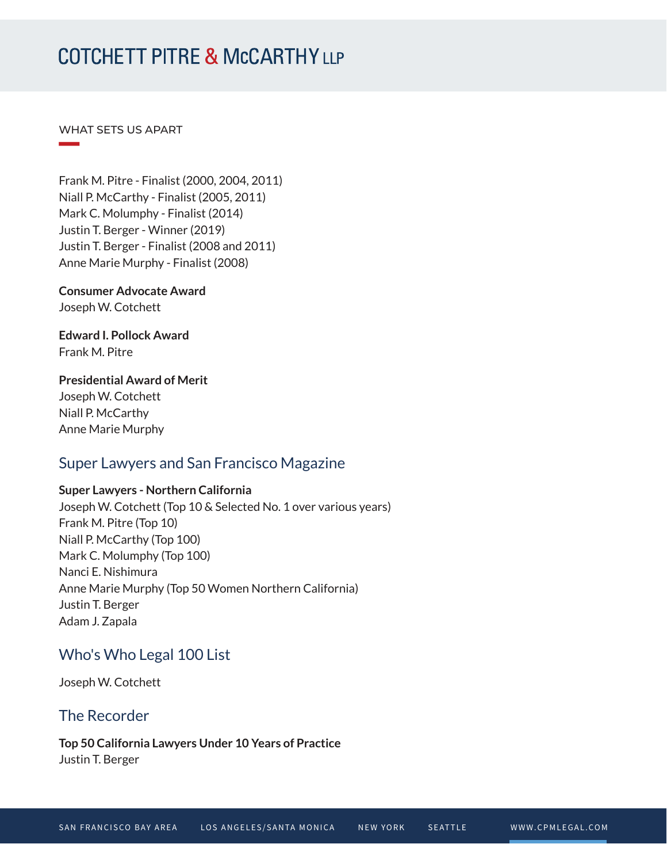WHAT SETS US APART

**William Company** 

Frank M. Pitre - Finalist (2000, 2004, 2011) Niall P. McCarthy - Finalist (2005, 2011) Mark C. Molumphy - Finalist (2014) Justin T. Berger - Winner (2019) Justin T. Berger - Finalist (2008 and 2011) Anne Marie Murphy - Finalist (2008)

**Consumer Advocate Award** Joseph W. Cotchett

**Edward I. Pollock Award** Frank M. Pitre

**Presidential Award of Merit** Joseph W. Cotchett Niall P. McCarthy

Anne Marie Murphy

# Super Lawyers and San Francisco Magazine

#### **Super Lawyers - Northern California**

Joseph W. Cotchett (Top 10 & Selected No. 1 over various years) Frank M. Pitre (Top 10) Niall P. McCarthy (Top 100) Mark C. Molumphy (Top 100) Nanci E. Nishimura Anne Marie Murphy (Top 50 Women Northern California) Justin T. Berger Adam J. Zapala

# Who's Who Legal 100 List

Joseph W. Cotchett

### The Recorder

**Top 50 California Lawyers Under 10 Years of Practice** Justin T. Berger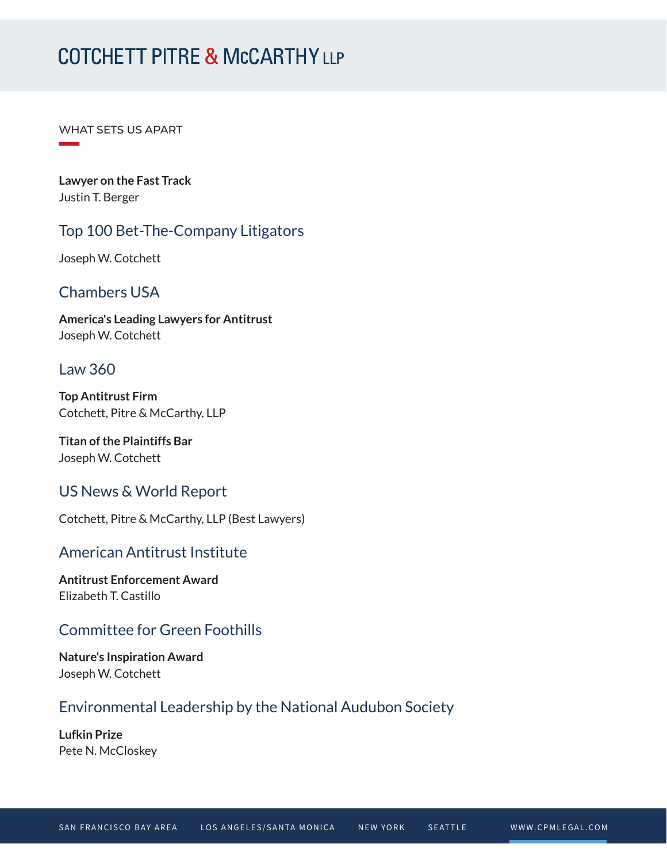WHAT SETS US APART

**William Company** 

**Lawyer on the Fast Track** Justin T. Berger

# Top 100 Bet-The-Company Litigators

Joseph W. Cotchett

# Chambers USA

**America's Leading Lawyers for Antitrust** Joseph W. Cotchett

### Law 360

**Top Antitrust Firm** Cotchett, Pitre & McCarthy, LLP

**Titan of the Plaintiffs Bar** Joseph W. Cotchett

### US News & World Report

Cotchett, Pitre & McCarthy, LLP (Best Lawyers)

### American Antitrust Institute

**Antitrust Enforcement Award** Elizabeth T. Castillo

### Committee for Green Foothills

**Nature's Inspiration Award** Joseph W. Cotchett

### Environmental Leadership by the National Audubon Society

**Lufkin Prize** Pete N. McCloskey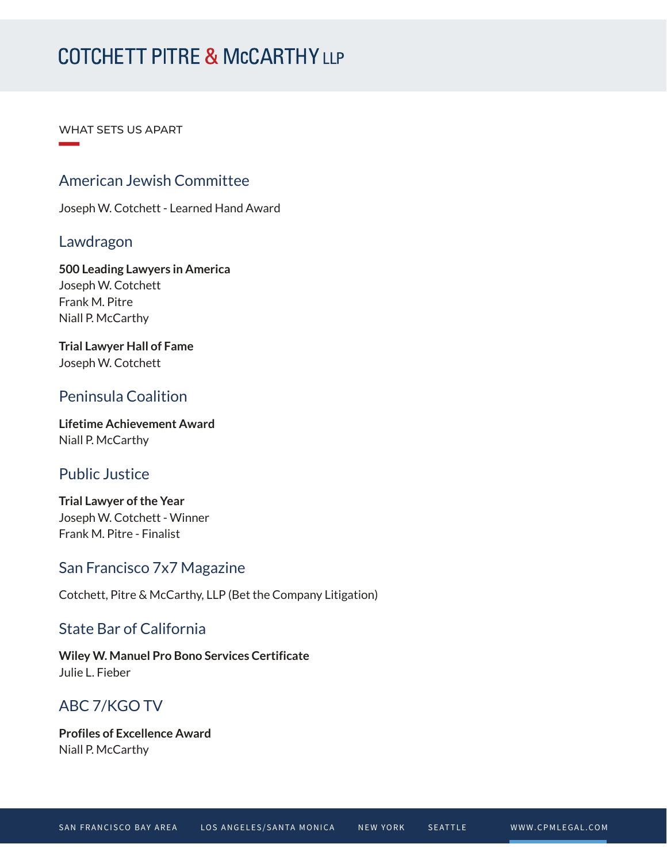WHAT SETS US APART

# American Jewish Committee

Joseph W. Cotchett - Learned Hand Award

#### Lawdragon

**William Company** 

**500 Leading Lawyers in America** Joseph W. Cotchett Frank M. Pitre Niall P. McCarthy

**Trial Lawyer Hall of Fame** Joseph W. Cotchett

# Peninsula Coalition

**Lifetime Achievement Award** Niall P. McCarthy

### Public Justice

**Trial Lawyer of the Year** Joseph W. Cotchett - Winner Frank M. Pitre - Finalist

### San Francisco 7x7 Magazine

Cotchett, Pitre & McCarthy, LLP (Bet the Company Litigation)

### State Bar of California

**Wiley W. Manuel Pro Bono Services Certificate** Julie L. Fieber

# ABC 7/KGO TV

**Profiles of Excellence Award** Niall P. McCarthy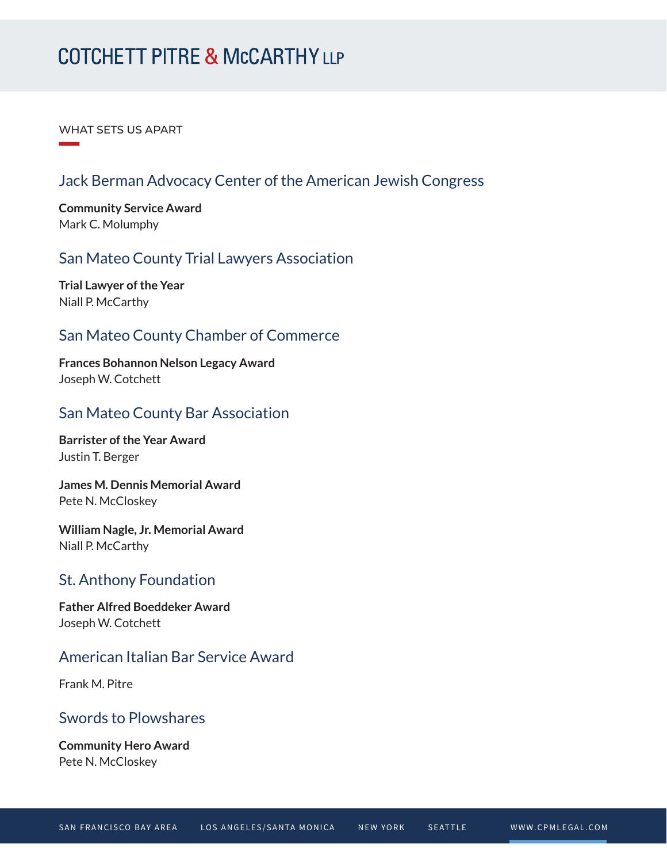WHAT SETS US APART

**William Company** 

# Jack Berman Advocacy Center of the American Jewish Congress

**Community Service Award** Mark C. Molumphy

### San Mateo County Trial Lawyers Association

**Trial Lawyer of the Year** Niall P. McCarthy

### San Mateo County Chamber of Commerce

**Frances Bohannon Nelson Legacy Award** Joseph W. Cotchett

### San Mateo County Bar Association

**Barrister of the Year Award** Justin T. Berger

**James M. Dennis Memorial Award** Pete N. McCloskey

**William Nagle, Jr. Memorial Award** Niall P. McCarthy

### St. Anthony Foundation

**Father Alfred Boeddeker Award** Joseph W. Cotchett

# American Italian Bar Service Award

Frank M. Pitre

### Swords to Plowshares

**Community Hero Award** Pete N. McCloskey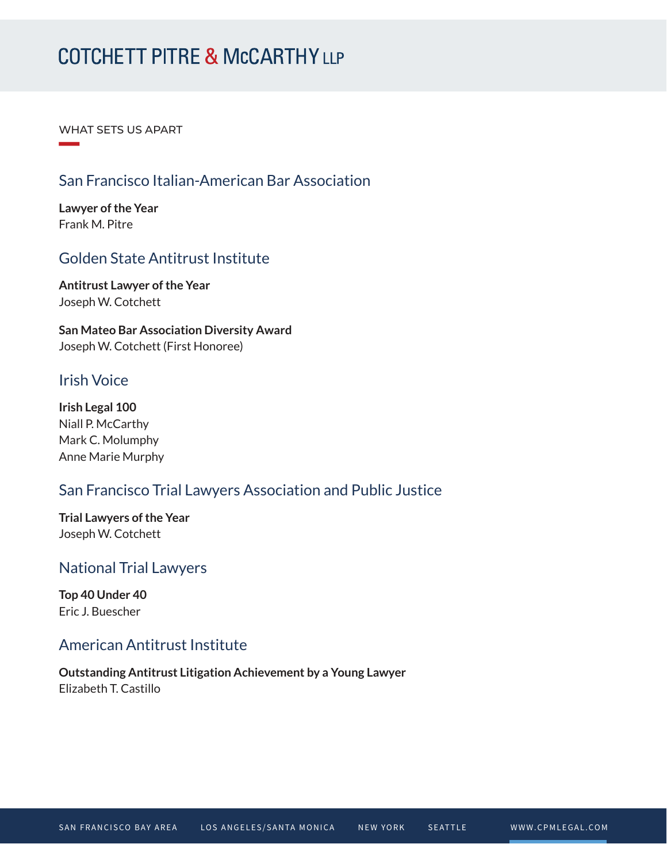WHAT SETS US APART

# San Francisco Italian-American Bar Association

**Lawyer of the Year** Frank M. Pitre

**William Company** 

# Golden State Antitrust Institute

**Antitrust Lawyer of the Year** Joseph W. Cotchett

**San Mateo Bar Association Diversity Award** Joseph W. Cotchett (First Honoree)

# Irish Voice

**Irish Legal 100** Niall P. McCarthy Mark C. Molumphy Anne Marie Murphy

# San Francisco Trial Lawyers Association and Public Justice

**Trial Lawyers of the Year** Joseph W. Cotchett

### National Trial Lawyers

**Top 40 Under 40** Eric J. Buescher

# American Antitrust Institute

**Outstanding Antitrust Litigation Achievement by a Young Lawyer** Elizabeth T. Castillo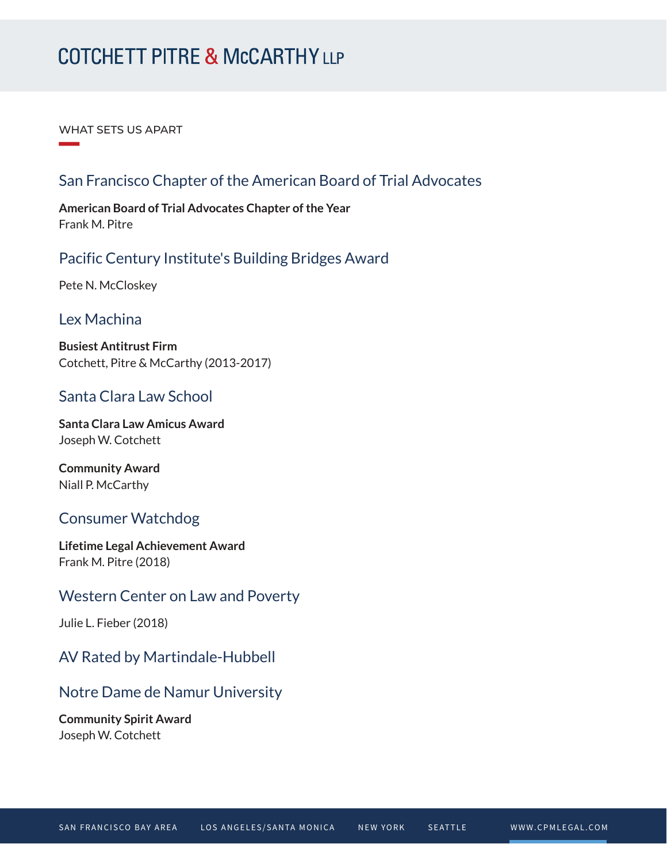WHAT SETS US APART

**William Company** 

# San Francisco Chapter of the American Board of Trial Advocates

**American Board of Trial Advocates Chapter of the Year** Frank M. Pitre

### Pacific Century Institute's Building Bridges Award

Pete N. McCloskey

#### Lex Machina

**Busiest Antitrust Firm** Cotchett, Pitre & McCarthy (2013-2017)

### Santa Clara Law School

**Santa Clara Law Amicus Award** Joseph W. Cotchett

**Community Award** Niall P. McCarthy

### Consumer Watchdog

**Lifetime Legal Achievement Award** Frank M. Pitre (2018)

### Western Center on Law and Poverty

Julie L. Fieber (2018)

### AV Rated by Martindale-Hubbell

### Notre Dame de Namur University

**Community Spirit Award** Joseph W. Cotchett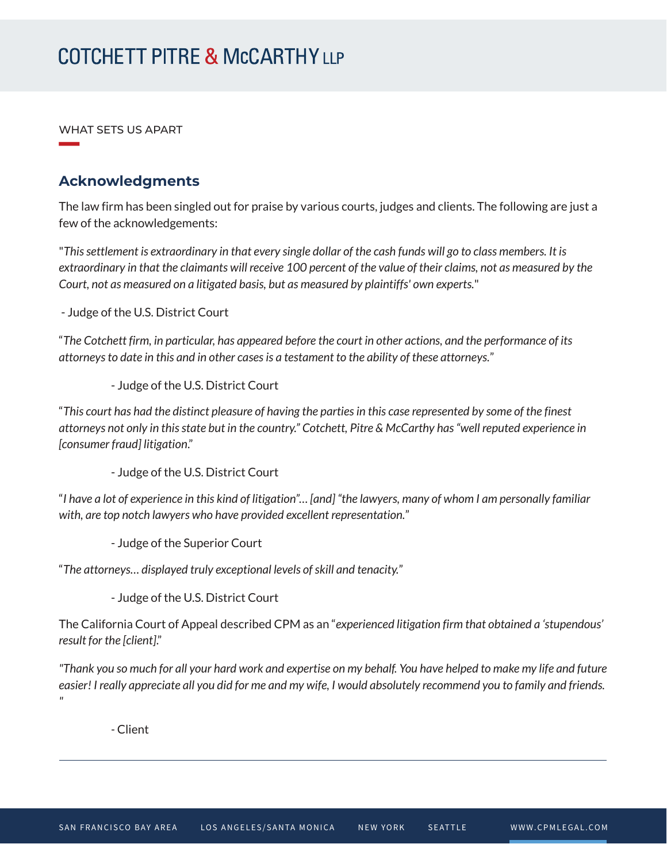WHAT SETS US APART

**William Company** 

### **Acknowledgments**

The law firm has been singled out for praise by various courts, judges and clients. The following are just a few of the acknowledgements:

"*This settlement is extraordinary in that every single dollar of the cash funds will go to class members. It is extraordinary in that the claimants will receive 100 percent of the value of their claims, not as measured by the Court, not as measured on a litigated basis, but as measured by plaintiffs' own experts.*"

- Judge of the U.S. District Court

"*The Cotchett firm, in particular, has appeared before the court in other actions, and the performance of its attorneys to date in this and in other cases is a testament to the ability of these attorneys.*"

- Judge of the U.S. District Court

"*This court has had the distinct pleasure of having the parties in this case represented by some of the finest attorneys not only in this state but in the country." Cotchett, Pitre & McCarthy has "well reputed experience in [consumer fraud] litigation*."

- Judge of the U.S. District Court

"*I have a lot of experience in this kind of litigation"… [and] "the lawyers, many of whom I am personally familiar with, are top notch lawyers who have provided excellent representation.*"

- Judge of the Superior Court

"*The attorneys… displayed truly exceptional levels of skill and tenacity.*"

- Judge of the U.S. District Court

The California Court of Appeal described CPM as an "*experienced litigation firm that obtained a 'stupendous' result for the [client]*."

*"Thank you so much for all your hard work and expertise on my behalf. You have helped to make my life and future easier! I really appreciate all you did for me and my wife, I would absolutely recommend you to family and friends. "*

*-* Client